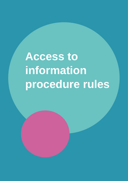# **Access to information procedure rules**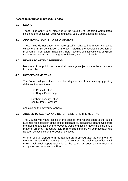# **Access to information procedure rules**

# **1.0 SCOPE**

These rules apply to all meetings of the Council, its Standing Committees, including the Executive, Joint Committees, Sub-Committees and Panels.

## **2.0 ADDITIONAL RIGHTS TO INFORMATION**

These rules do not affect any more specific rights to information contained elsewhere in this Constitution or the law, including the developing position on Freedom of Information. In addition, there may also be implications arising from Data Protection and Human Rights legislation, which is still evolving.

## **3.0 RIGHTS TO ATTEND MEETINGS**

Members of the public may attend all meetings subject only to the exceptions in these rules.

# **4.0 NOTICES OF MEETING**

The Council will give at least five clear days' notice of any meeting by posting details of the meeting at

The Council Offices The Burys, Godalming

Farnham Locality Office South Street, Farnham

and also on the Waverley website.

# **5.0 ACCESS TO AGENDA AND REPORTS BEFORE THE MEETING**

The Council will make copies of the agenda and reports open to the public available for inspection at the offices listed above, at least five clear days before the meeting, and also on the Waverley website unless a meeting is called as a matter of urgency (Procedure Rule 15 refers) and papers will be made available as soon as possible on the Council's website.

Where reports referred to in the agenda are prepared after the summons for members to attend the meeting has been sent out, the designated officer shall make each such report available to the public as soon as the report is completed and sent to councillors.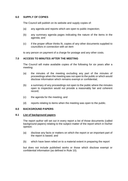# **6.0 SUPPLY OF COPIES**

The Council will publish on its website and supply copies of:

- (a) any agenda and reports which are open to public inspection;
- (b) any summary agenda pages indicating the nature of the items in the agenda; and
- (c) if the proper officer thinks fit, copies of any other documents supplied to councillors in connection with an item

to any person on payment of a charge for postage and any other costs.

# **7.0 ACCESS TO MINUTES AFTER THE MEETING**

The Council will make available copies of the following for six years after a meeting:

- (a) the minutes of the meeting excluding any part of the minutes of proceedings when the meeting was not open to the public or which would disclose information which remains exempt or confidential;
- (b) a summary of any proceedings not open to the public where the minutes open to inspection would not provide a reasonably fair and coherent record;
- (c) the agenda for the meeting; and
- (d) reports relating to items when the meeting was open to the public.

# **8.0 BACKGROUND PAPERS**

# **8.1 List of background papers**

The report author will set out in every report a list of those documents (called background papers) relating to the subject matter of the report which in his/her opinion:

- (a) disclose any facts or matters on which the report or an important part of the report is based; and
- (b) which have been relied on to a material extent in preparing the report

but does not include published works or those which disclose exempt or confidential information (as defined in Rule 10).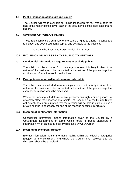# **8.2 Public inspection of background papers**

The Council will make available for public inspection for four years after the date of the meeting one copy of each of the documents on the list of background papers.

# **9.0 SUMMARY OF PUBLIC'S RIGHTS**

These rules comprise a summary of the public's rights to attend meetings and to inspect and copy documents kept at and available to the public at:

The Council Offices, The Burys, Godalming, Surrey.

# **10.0 EXCLUSION OF ACCESS BY THE PUBLIC TO MEETINGS**

# **10.1 Confidential information – requirement to exclude public**

The public must be excluded from meetings whenever it is likely in view of the nature of the business to be transacted or the nature of the proceedings that confidential information would be disclosed.

# **10.2 Exempt information – discretion to exclude public**

The public may be excluded from meetings whenever it is likely in view of the nature of the business to be transacted or the nature of the proceedings that exempt information would be disclosed.

Where the meeting will determine any person's civil rights or obligations, or adversely affect their possessions, Article 6 of Schedule 1 of the Human Rights Act establishes a presumption that the meeting will be held in public unless a private hearing is necessary for one of the reasons specified in Article 6.

# **10.3 Meaning of confidential information**

Confidential information means information given to the Council by a Government Department on terms which forbid its public disclosure or information which cannot be publicly disclosed by Court Order.

# **10.4 Meaning of exempt information**

Exempt information means information falling within the following categories (subject to any condition), and where the Council has resolved that the discretion should be exercised: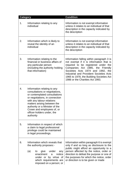| <b>Category</b> |                                                                                                                                                                                                                                                                                                         | <b>Condition</b>                                                                                                                                                                                                                                                                                                               |
|-----------------|---------------------------------------------------------------------------------------------------------------------------------------------------------------------------------------------------------------------------------------------------------------------------------------------------------|--------------------------------------------------------------------------------------------------------------------------------------------------------------------------------------------------------------------------------------------------------------------------------------------------------------------------------|
| 1.              | Information relating to any<br>individual                                                                                                                                                                                                                                                               | Information is not exempt information<br>unless it relates to an individual of that<br>description in the capacity indicated by<br>the description                                                                                                                                                                             |
| 2.              | Information which is likely to<br>reveal the identity of an<br>individual                                                                                                                                                                                                                               | Information is not exempt information<br>unless it relates to an individual of that<br>description in the capacity indicated by<br>the description                                                                                                                                                                             |
| 3.              | Information relating to the<br>financial or business affairs of<br>any particular person<br>(including the authority holding<br>that information)                                                                                                                                                       | Information falling within paragraph 3 is<br>not exempt if it is information that is<br>required to be registered under the<br>Companies Act 1985, the Friendly<br>Societies Acts 1974 and 1992, the<br>Industrial and Provident Societies Acts<br>1965 to 1978, the Building Societies Act<br>1986 or the Charities Act 1993. |
| 4.              | Information relating to any<br>consultations or negotiations,<br>or contemplated consultations<br>or negotiations, in connection<br>with any labour relations<br>matters arising between the<br>authority or a Minister of the<br>Crown and employees of, or<br>officer-holders under, the<br>authority |                                                                                                                                                                                                                                                                                                                                |
| 5.              | Information in respect of which<br>a claim to legal professional<br>privilege could be maintained<br>in legal proceedings.                                                                                                                                                                              |                                                                                                                                                                                                                                                                                                                                |
| 6.              | Information which reveals that<br>the authority proposes:-<br>(a)<br>give<br>under<br>any<br>to<br>notice<br>enactment<br>a<br>under or by virtue of<br>which requirements are<br>imposed on a person; or                                                                                               | Information within paragraph 6 is exempt<br>only if and so long as disclosure to the<br>public might afford an opportunity to a<br>person affected by the notice, order or<br>direction to defeat the purpose or one of<br>the purposes for which the notice, order<br>or direction is to be given or made                     |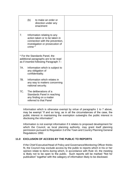|                                                                                                                  | (b)     | to make an order or<br>direction under any<br>enactment                                                                             |  |
|------------------------------------------------------------------------------------------------------------------|---------|-------------------------------------------------------------------------------------------------------------------------------------|--|
| 7.                                                                                                               | crime * | Information relating to any<br>action taken or to be taken in<br>connection with the prevention,<br>investigation or prosecution of |  |
| * For the Standards Panel, the<br>additional paragraphs are to be read<br>as if inserted following Paragraph 7:- |         |                                                                                                                                     |  |
| 7A.                                                                                                              |         | Information which is subject to<br>any obligation of<br>confidentiality.                                                            |  |
| 7B.                                                                                                              |         | Information which relates in<br>any way to matters concerning<br>national security.                                                 |  |
| 7C.                                                                                                              |         | The deliberations of a<br>Standards Panel in reaching<br>any finding on a matter<br>referred to that Panel                          |  |

Information which is otherwise exempt by virtue of paragraphs 1 to 7 above, may be exempt "if and so long, as in all the circumstances of the case, the public interest in maintaining the exemption outweighs the public interest in disclosing the information".

Information is not exempt information if it relates to proposed development for which the Council, as local planning authority, may grant itself planning permission pursuant to Regulation 3 of the Town and Country Planning General Regulations 1992.

# **11.0 EXCLUSION OF ACCESS BY THE PUBLIC TO REPORTS**

If the Chief Executive/Head of Policy and Governance/Monitoring Officer thinks fit, the Council may exclude access by the public to reports which in his or her opinion relate to items during which, in accordance with Rule 10, the meeting is likely not to be open to the public. Such reports will be marked "Not for publication" together with the category of information likely to be disclosed.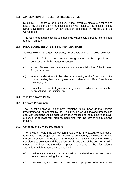# **12.0 APPLICATION OF RULES TO THE EXECUTIVE**

Rules 13 – 24 apply to the Executive. If the Executive meets to discuss and take a key decision then it must also comply with Rules  $1 - 11$  unless Rule 15 (Urgent Decisions) apply. A key decision is defined in Article 13 of the Constitution.

This requirement does not include meetings, whose sole purpose is for officers to brief members.

# **13.0 PROCEDURE BEFORE TAKING KEY DECISIONS**

Subject to Rule 15 (Urgent Decisions), a key decision may not be taken unless:

- (a) a notice (called here a Forward Programme) has been published in connection with the matter in question;
- (b) at least 5 clear days have elapsed since the publication of the Forward Programme; and
- (c) where the decision is to be taken at a meeting of the Executive, notice of the meeting has been given in accordance with Rule 4 (notice of meetings); or
- (d) it results from central government guidance of which the Council has been notified in insufficient time.

# **14.0 THE FORWARD PLAN**

# **14.1 Forward Programme**

The Council's Forward Plan of Key Decisions, to be known as the Forward Programme will be adopted by the Executive. Forward plans and proposals to deal with decisions will be adopted by each meeting of the Executive to cover a period of at least four months, beginning with the day of the Executive meeting.

# **14.2 Contents of Forward Programme**

The Forward Programme will contain matters which the Executive has reason to believe will be subject of a key decision to be taken by the Executive during the period covered by the plan. It will detail the matter in respect of which a decision is to be made and the earliest anticipated date of the decision-making meeting. It will describe the following particulars in so far as the information is available or might reasonably be obtained:

- (a) the identity of the principal groups whom the decision taker proposes to consult before taking the decision;
- (b) the means by which any such consultation is proposed to be undertaken;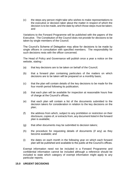(c) the steps any person might take who wishes to make representations to the executive or decision taker about the matter in respect of which the decision is to be made, and the date by which those steps must be taken; and

Variations to the Forward Programme will be published with the papers of the Executive. The Constitution of the Council does not provide for decisions to be taken by single members of the Council.

The Council's Scheme of Delegation may allow for decisions to be made by single officers in consultation with specified members. The responsibility for such decisions rests with the officer concerned.

The Head of Policy and Governance will publish once a year a notice on the website, stating:-

- (a) that key decisions are to be taken on behalf of the Council;
- (b) that a forward plan containing particulars of the matters on which decisions are to be taken will be prepared on a monthly basis;
- (c) that the plan will contain details of the key decisions to be made for the four month period following its publication;
- (d) that each plan will be available for inspection at reasonable hours free of charge at the Council's offices;
- (e) that each plan will contain a list of the documents submitted to the decision takers for consideration in relation to the key decisions on the plan;
- (f) the address from which, subject to any prohibition or restriction on their disclosure, copies of, or extracts from, any document listed in the forward plan is available;
- (g) that other documents may be submitted to decision takers;
- (h) the procedure for requesting details of documents (if any) as they become available; and
- (i) the dates on each month in the following year on which each forward plan will be published and available to the public at the Council's offices.

Exempt information need not be included in a Forward Programme and confidential information cannot be included although a reference should be included to state which category of exempt information might apply to any particular reports.

### **15.0 URGENT DECISIONS**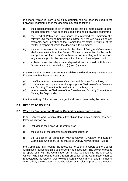If a matter which is likely to be a key decision has not been included in the Forward Programme, then the decision may still be taken if:

- (a) the decision must be taken by such a date that it is impracticable to defer the decision until it has been included in the next Forward Programme;
- (b) the Head of Policy and Governance has informed the Chairman of a relevant Overview and Scrutiny Committee, or if there is no such person available, each member of that Committee by notice in writing, of the matter in respect of which the decision is to be made;
- (c) as soon as reasonably practicable, the Head of Policy and Governance shall make available at the Council Offices for inspection by the public, and publish on the Council's website, a notice setting out the reasons why it was impracticable to include the item in a forward plan; and
- (d) at least three clear days have elapsed since the Head of Policy and Governance has complied with (b) and (c) above.

In the event that 3 clear days are not available, the decision may only be made if agreement has been obtained from:

- (a) the Chairman of the relevant Overview and Scrutiny Committee; or
- (b) if there is no such person, or the appropriate Chairman of the Overview and Scrutiny Committee is unable to act, the Mayor; or
- (c) where there is no Chairman of the Overview and Scrutiny Committee or Mayor, the Deputy Mayor,

that the making of the decision is urgent and cannot reasonably be deferred.

### **16.0 REPORT TO COUNCIL**

### **16.1 When an Overview and Scrutiny Committee can require a report**

If an Overview and Scrutiny Committee thinks that a key decision has been taken which was not:

- (a) included in the Forward Programme; or
- (b) the subject of the general exception procedure; or
- (c) the subject of an agreement with a relevant Overview and Scrutiny Committee Chairman, or the Mayor or Deputy Mayor, under Rule 15;

the Committee may require the Executive to submit a report to the Council within such reasonable time as the Committee specifies. The power to require a report rests with the Committee, but is also delegated to the Monitoring Officer, who shall require such a report on behalf of the Committee when so requested by the relevant Overview and Scrutiny Chairman or any 5 members. Alternatively the requirement may be raised by resolution passed at a meeting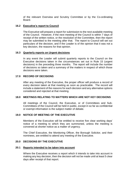of the relevant Overview and Scrutiny Committee or by the Co-ordinating **Board** 

# **16.2 Executive's report to Council**

The Executive will prepare a report for submission to the next available meeting of the Council. However, if the next meeting of the Council is within 7 days of receipt of the written notice, or the resolution of the Committee, then the report may be submitted to the meeting after that. The report to Council will set out particulars of the decision, and if the Leader is of the opinion that it was not a key decision, the reasons for that opinion.

# **16.3 Quarterly reports on Urgent decisions**

In any event the Leader will submit quarterly reports to the Council on the Executive decisions taken in the circumstances set out in Rule 15 (urgent decisions) in the preceding three months. The report will include the number of decisions so taken and a summary of the matters in respect of which those decisions were taken.

# **17.0 RECORD OF DECISIONS**

After any meeting of the Executive, the proper officer will produce a record of every decision taken at that meeting as soon as practicable. The record will include a statement of the reasons for each decision and any alternative options considered and rejected at that meeting.

# **18.0 MEETINGS RELATING TO MATTERS WHICH ARE NOT KEY DECISIONS**

All meetings of the Council, the Executive, or of Committees and Sub-Committees of the Council will be held in public, except in so far as confidential or exempt information is the subject matter of debate.

# **19.0 NOTICE OF MEETING OF THE EXECUTIVE**

Members of the Executive will be entitled to receive five clear working days' notice of a meeting to which they are summoned, unless the meeting is convened at shorter notice as a matter of urgency.

The Chief Executive, the Monitoring Officer, the Borough Solicitor, and their nominees, are entitled to attend any meeting of the Executive.

# **20.0 DECISIONS BY THE EXECUTIVE**

# **20.1 Reports intended to be taken into account**

Where the Executive receives a report which it intends to take into account in making any key decision, then the decision will not be made until at least 5 clear days after receipt of that report.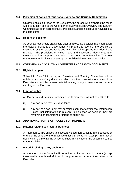# **20.2 Provision of copies of reports to Overview and Scrutiny Committees**

On giving of such a report to the Executive, the person who prepared the report will give a copy of it to the Chairman of every relevant Overview and Scrutiny Committee as soon as reasonably practicable, and make it publicly available at the same time.

# **20.3 Record of decision**

As soon as reasonably practicable after an Executive decision has been taken, the Head of Policy and Governance will prepare a record of the decision, a statement of the reasons for it and any alternative options considered and rejected. The provisions of Rules 7 and 8 (inspection of documents after meetings) will also apply to the making of decisions by the Executive. This does not require the disclosure of exempt or confidential information or advice.

# **21.0 OVERVIEW AND SCRUTINY COMMITTEES ACCESS TO DOCUMENTS**

# **21.1 Rights to copies**

Subject to Rule 21.2 below, an Overview and Scrutiny Committee will be entitled to copies of any document which is in the possession or control of the Executive and which contains material relating to any business transacted at a meeting of the Executive.

# **21.2 Limit on rights**

An Overview and Scrutiny Committee, or its members, will not be entitled to:

- (a) any document that is in draft form;
- (b) any part of a document that contains exempt or confidential information, unless that information is relevant to an action or decision they are reviewing or scrutinising or intend to scrutinise.

# **22.0 ADDITIONAL RIGHTS OF ACCESS FOR MEMBERS**

### **22.1 Material relating to previous business**

All members will be entitled to inspect any document which is in the possession or under the control of the Executive unless it contains exempt information upon which the Monitoring Officer will determine whether the document can be made available.

### **22.2 Material relating to key decisions**

All members of the Council will be entitled to inspect any document (except those available only in draft form) in the possession or under the control of the Executive.